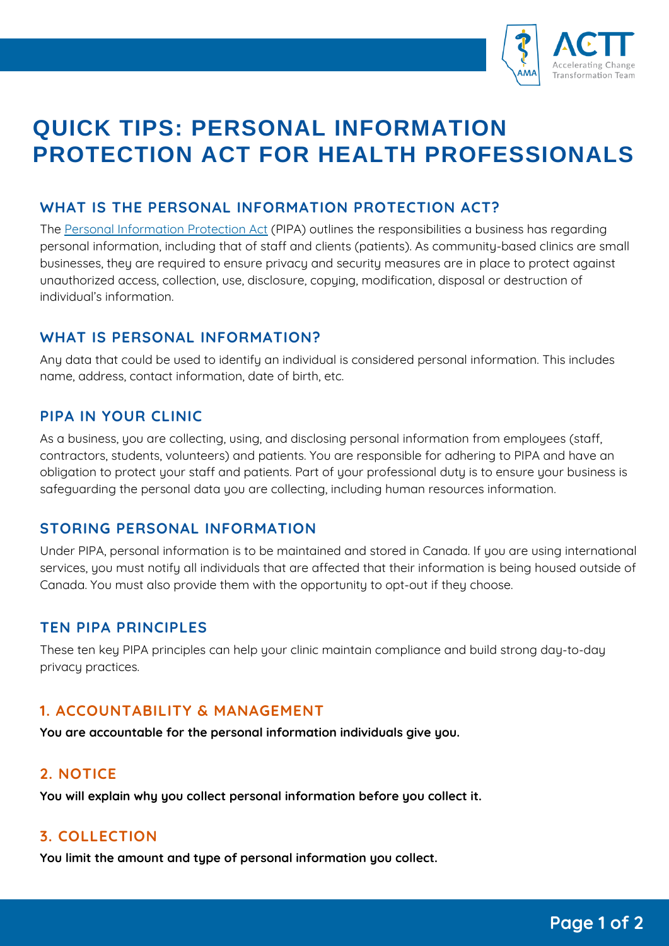

# **QUICK TIPS: PERSONAL INFORMATION PROTECTION ACT FOR HEALTH PROFESSIONALS**

## **WHAT IS THE PERSONAL INFORMATION PROTECTION ACT?**

The Personal [Information](https://www.qp.alberta.ca/1266.cfm?page=P06P5.cfm&leg_type=Acts&isbncln=9780779814381) Protection Act (PIPA) outlines the responsibilities a business has regarding personal information, including that of staff and clients (patients). As community-based clinics are small businesses, they are required to ensure privacy and security measures are in place to protect against unauthorized access, collection, use, disclosure, copying, modification, disposal or destruction of individual's information.

## **WHAT IS PERSONAL INFORMATION?**

Any data that could be used to identify an individual is considered personal information. This includes name, address, contact information, date of birth, etc.

## **PIPA IN YOUR CLINIC**

As a business, you are collecting, using, and disclosing personal information from employees (staff, contractors, students, volunteers) and patients. You are responsible for adhering to PIPA and have an obligation to protect your staff and patients. Part of your professional duty is to ensure your business is safeguarding the personal data you are collecting, including human resources information.

## **STORING PERSONAL INFORMATION**

Under PIPA, personal information is to be maintained and stored in Canada. If you are using international services, you must notify all individuals that are affected that their information is being housed outside of Canada. You must also provide them with the opportunity to opt-out if they choose.

#### **TEN PIPA PRINCIPLES**

These ten key PIPA principles can help your clinic maintain compliance and build strong day-to-day privacy practices.

#### **1. ACCOUNTABILITY & MANAGEMENT**

**You are accountable for the personal information individuals give you.**

#### **2. NOTICE**

**You will explain why you collect personal information before you collect it.**

#### **3. COLLECTION**

**You limit the amount and type of personal information you collect.**